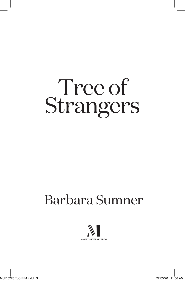# Tree of Strangers

## Barbara Sumner

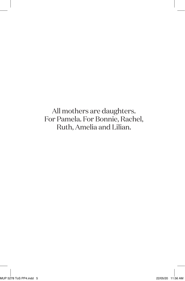All mothers are daughters. For Pamela. For Bonnie, Rachel, Ruth, Amelia and Lilian.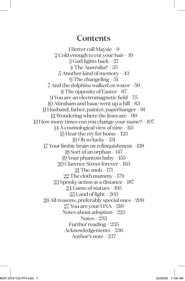#### **Contents**

1 Better call Maysie – 9 2 Cold enough to cut your hair – 19 3 God fights back – 27 4 The Australia? – 35 5 Another kind of memory – 43 6 The changeling – 51 7 And the dolphins walked on water – 59 8 The opposite of Easter – 67 9 You are an electromagnetic field – 75 10 Abraham and Isaac went up a hill – 83  $\underline{\rm II}$  Husband, father, painter, paperhanger – 91 12 Wondering where the lions are – 99 13 How many times can you change your name? – 107 14 A cosmological view of time – 115 15 Hear the cry for home – 123 16 Oh so lucky – 131 17 Your limbic brain on relinquishment – 139 18 Sort of an orphan – 147 19 Your phantom baby – 155 20 Clarence Street forever – 163 21 The snob – 171  $22$  The cloth mummy - 179 23 Spooky action at a distance – 187 24 Game of statues – 195 25 Land of light – 203 26 All reasons, preferably special ones – 209 27 You are your DNA – 219 Notes about adoption – 225 Notes – 233 Further reading – 235 Acknowledgements – 236 Author's note – 237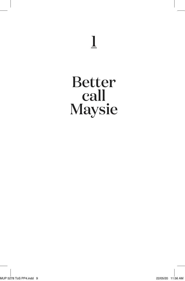## 1

## Better call Maysie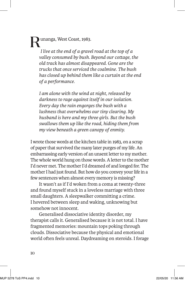Runanga, West Coast, 1983. *I live at the end of a gravel road at the top of a valley consumed by bush. Beyond our cottage, the old track has almost disappeared. Gone are the trucks that once serviced the coalmine. The bush has closed up behind them like a curtain at the end of a performance.* 

*I am alone with the wind at night, released by darkness to rage against itself in our isolation. Every day the rain engorges the bush with a lushness that overwhelms our tiny clearing. My husband is here and my three girls. But the bush swallows them up like the road, hiding them from my view beneath a green canopy of enmity.* 

I wrote those words at the kitchen table in 1983, on a scrap of paper that survived the many later purges of my life. An embarrassing early version of an unsent letter to my mother. The whole world hung on those words. A letter to the mother I'd never met. The mother I'd dreamed of and longed for. The mother I had just found. But how do you convey your life in a few sentences when almost every memory is missing?

It wasn't as if I'd woken from a coma at twenty-three and found myself stuck in a loveless marriage with three small daughters. A sleepwalker committing a crime. I hovered between sleep and waking, unknowing but somehow not innocent.

Generalised dissociative identity disorder, my therapist calls it. Generalised because it is not total. I have fragmented memories: mountain tops poking through clouds. Dissociative because the physical and emotional world often feels unreal. Daydreaming on steroids. I forage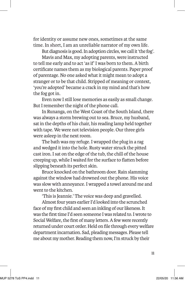for identity or assume new ones, sometimes at the same time. In short, I am an unreliable narrator of my own life.

But diagnosis is good. In adoption circles, we call it 'the fog'.

Mavis and Max, my adopting parents, were instructed to tell me early and to act 'as if' I was born to them. A birth certificate names them as my biological parents. Paper proof of parentage. No one asked what it might mean to adopt a stranger or to be that child. Stripped of meaning or context, 'you're adopted' became a crack in my mind and that's how the fog got in.

Even now I still lose memories as easily as small change. But I remember the night of the phone call.

In Runanga, on the West Coast of the South Island, there was always a storm brewing out to sea. Bruce, my husband, sat in the depths of his chair, his reading lamp held together with tape. We were not television people. Our three girls were asleep in the next room.

The bath was my refuge. I wrapped the plug in a rag and wedged it into the hole. Rusty water struck the pitted cast iron. I sat on the edge of the tub, the chill of the house creeping up, while I waited for the surface to flatten before slipping beneath its perfect skin.

Bruce knocked on the bathroom door. Rain slamming against the window had drowned out the phone. His voice was slow with annoyance. I wrapped a towel around me and went to the kitchen.

'This is Jeannie.' The voice was deep and gravelled.

Almost four years earlier I'd looked into the scrunched face of my first child and seen an inkling of our likeness. It was the first time I'd seen someone I was related to. I wrote to Social Welfare, the first of many letters. A few were recently returned under court order. Held on file through every welfare department incarnation. Sad, pleading messages. Please tell me about my mother. Reading them now, I'm struck by their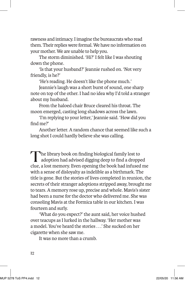rawness and intimacy. I imagine the bureaucrats who read them. Their replies were formal. We have no information on your mother. We are unable to help you.

The storm diminished. 'Hi?' I felt like I was shouting down the phone.

'Is that your husband?' Jeannie rushed on. 'Not very friendly, is he?'

'He's reading. He doesn't like the phone much.'

Jeannie's laugh was a short burst of sound, one sharp note on top of the other. I had no idea why I'd told a stranger about my husband.

From the haloed chair Bruce cleared his throat. The moon emerged, casting long shadows across the lawn.

'I'm replying to your letter,' Jeannie said. 'How did you find me?'

Another letter. A random chance that seemed like such a long shot I could hardly believe she was calling.

The library book on finding biological family lost to adoption had advised digging deep to find a dropped clue, a lost memory. Even opening the book had infused me with a sense of disloyalty as indelible as a birthmark. The title is gone. But the stories of lives completed in reunion, the secrets of their stranger adoptions stripped away, brought me to tears. A memory rose up, precise and whole. Mavis's sister had been a nurse for the doctor who delivered me. She was consoling Mavis at the Formica table in our kitchen. I was fourteen and surly.

'What do you expect?' the aunt said, her voice hushed over teacups as I lurked in the hallway. 'Her mother was a model. You've heard the stories . . .' She sucked on her cigarette when she saw me.

It was no more than a crumb.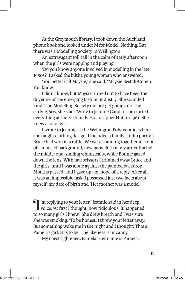At the Greymouth library, I took down the Auckland phone book and looked under M for Model. Nothing. But there was a Modelling Society in Wellington.

An extravagant toll call in the calm of early afternoon when the girls were napping and playing.

'Do you know anyone involved in modelling in the late 1950s?' I asked the blithe young woman who answered.

'You better call Maysie,' she said. 'Maysie Bestall-Cohen. You know'

I didn't know, but Maysie turned out to have been the doyenne of the emerging fashion industry. She sounded kind. The Modelling Society did not get going until the early 1960s, she said. 'Write to Jeannie Gandar, she started everything at the Fashion Fiesta in Upper Hutt in 1961. She knew a lot of girls.'

I wrote to Jeannie at the Wellington Polytechnic, where she taught clothing design. I included a family studio portrait Bruce had won in a raffle. We were standing together in front of a mottled background, new baby Ruth in my arms. Rachel, the middle one, smiling whimsically, while Bonnie gazed down the lens. With nail scissors I trimmed away Bruce and the girls, until I was alone against the painted backdrop. Months passed, and I gave up any hope of a reply. After all it was an impossible task. I possessed just two facts about myself: my date of birth and 'Her mother was a model'.

 $\mathcal{I}'$ 'm replying to your letter,' Jeannie said in her deep voice. 'At first I thought, how ridiculous. It happened to so many girls I knew.' She drew breath and I was sure she was smoking. 'To be honest, I threw your letter away. But something woke me in the night and I thought: That's Pamela's girl. Has to be. The likeness is uncanny.'

My chest tightened. Pamela. Her name is Pamela.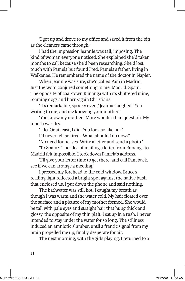'I got up and drove to my office and saved it from the bin as the cleaners came through.'

I had the impression Jeannie was tall, imposing. The kind of woman everyone noticed. She explained she'd taken months to call because she'd been researching. She'd lost touch with Pamela but found Fred, Pamela's father, living in Waikanae. He remembered the name of the doctor in Napier.

When Jeannie was sure, she'd called Pam in Madrid. Just the word conjured something in me. Madrid. Spain. The opposite of coal-town Runanga with its shuttered mine, roaming dogs and born-again Christians.

'It's remarkable, spooky even,' Jeannie laughed. 'You writing to me, and me knowing your mother.'

'You know my mother.' More wonder than question. My mouth was dry.

'I do. Or at least, I did. You look so like her.'

I'd never felt so tired. 'What should I do now?'

'No need for nerves. Write a letter and send a photo.'

'To Spain?' The idea of mailing a letter from Runanga to Madrid felt impossible. I took down Pamela's address.

'I'll give your letter time to get there, and call Pam back, see if we can arrange a meeting.'

I pressed my forehead to the cold window. Bruce's reading light reflected a bright spot against the native bush that enclosed us. I put down the phone and said nothing.

The bathwater was still hot. I caught my breath as though I was warm and the water cold. My hair floated over the surface and a picture of my mother formed. She would be tall with pale eyes and straight hair that hung thick and glossy, the opposite of my thin plait. I sat up in a rush. I never intended to stay under the water for so long. The stillness induced an amniotic slumber, until a frantic signal from my brain propelled me up, finally desperate for air.

The next morning, with the girls playing, I returned to a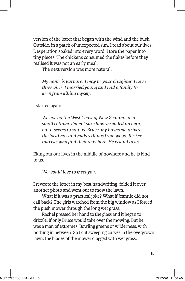version of the letter that began with the wind and the bush. Outside, in a patch of unexpected sun, I read about our lives. Desperation soaked into every word. I tore the paper into tiny pieces. The chickens consumed the flakes before they realised it was not an early meal.

The next version was more natural.

*My name is Barbara. I may be your daughter. I have three girls. I married young and had a family to keep from killing myself.* 

I started again.

*We live on the West Coast of New Zealand, in a small cottage. I'm not sure how we ended up here, but it seems to suit us. Bruce, my husband, drives the local bus and makes things from wood, for the tourists who find their way here. He is kind to us.* 

Eking out our lives in the middle of nowhere and he is kind to us.

*We would love to meet you.* 

I rewrote the letter in my best handwriting, folded it over another photo and went out to mow the lawn.

What if it was a practical joke? What if Jeannie did not call back? The girls watched from the big window as I forced the push mower through the long wet grass.

Rachel pressed her hand to the glass and it began to drizzle. If only Bruce would take over the mowing. But he was a man of extremes. Bowling greens or wilderness, with nothing in between. So I cut sweeping curves in the overgrown lawn, the blades of the mower clogged with wet grass.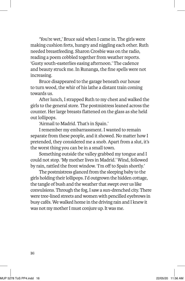'You're wet,' Bruce said when I came in. The girls were making cushion forts, hungry and niggling each other. Ruth needed breastfeeding. Sharon Crosbie was on the radio, reading a poem cobbled together from weather reports. 'Gusty south-easterlies easing afternoon.' The cadence and beauty struck me. In Runanga, the fine spells were not increasing.

Bruce disappeared to the garage beneath our house to turn wood, the whir of his lathe a distant train coming towards us.

After lunch, I strapped Ruth to my chest and walked the girls to the general store. The postmistress leaned across the counter. Her large breasts flattened on the glass as she held out lollipops.

'Airmail to Madrid. That's in Spain.'

I remember my embarrassment. I wanted to remain separate from these people, and it showed. No matter how I pretended, they considered me a snob. Apart from a slut, it's the worst thing you can be in a small town.

Something outside the valley grabbed my tongue and I could not stop. 'My mother lives in Madrid.' Wind, followed by rain, rattled the front window. 'I'm off to Spain shortly.'

The postmistress glanced from the sleeping baby to the girls holding their lollipops. I'd outgrown the hidden cottage, the tangle of bush and the weather that swept over us like convulsions. Through the fog, I saw a sun-drenched city. There were tree-lined streets and women with pencilled eyebrows in busy cafés. We walked home in the driving rain and I knew it was not my mother I must conjure up. It was me.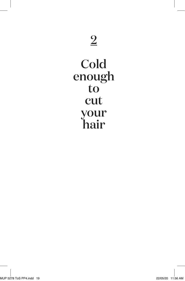### Cold enough to cut your hair